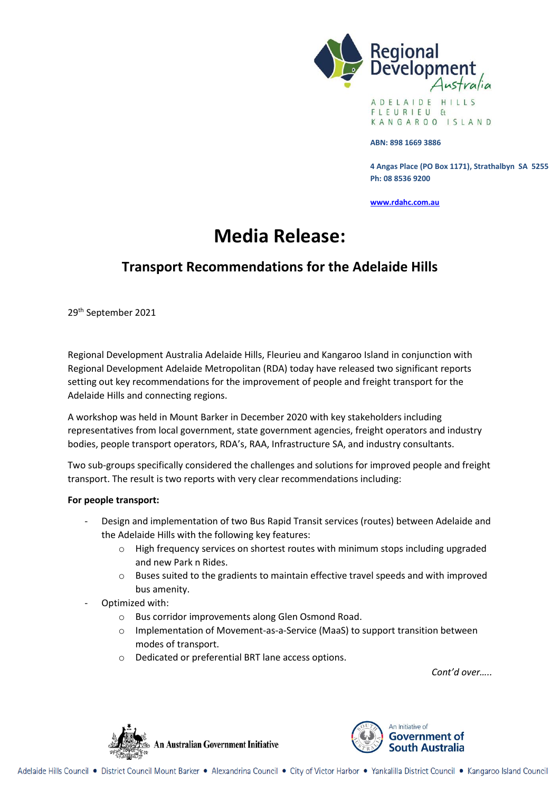

A D E L A I D E H I L L S FLEURIEU  $H$ KANGAROO ISLAND

#### **ABN: 898 1669 3886**

**4 Angas Place (PO Box 1171), Strathalbyn SA 5255 Ph: 08 8536 9200**

**[www.rdahc.com.au](http://www.rdahc.com.au/)**

# **Media Release:**

## **Transport Recommendations for the Adelaide Hills**

29th September 2021

Regional Development Australia Adelaide Hills, Fleurieu and Kangaroo Island in conjunction with Regional Development Adelaide Metropolitan (RDA) today have released two significant reports setting out key recommendations for the improvement of people and freight transport for the Adelaide Hills and connecting regions.

A workshop was held in Mount Barker in December 2020 with key stakeholders including representatives from local government, state government agencies, freight operators and industry bodies, people transport operators, RDA's, RAA, Infrastructure SA, and industry consultants.

Two sub-groups specifically considered the challenges and solutions for improved people and freight transport. The result is two reports with very clear recommendations including:

#### **For people transport:**

- Design and implementation of two Bus Rapid Transit services (routes) between Adelaide and the Adelaide Hills with the following key features:
	- o High frequency services on shortest routes with minimum stops including upgraded and new Park n Rides.
	- o Buses suited to the gradients to maintain effective travel speeds and with improved bus amenity.
- Optimized with:
	- o Bus corridor improvements along Glen Osmond Road.
	- o Implementation of Movement-as-a-Service (MaaS) to support transition between modes of transport.
	- o Dedicated or preferential BRT lane access options.

*Cont'd over…..*